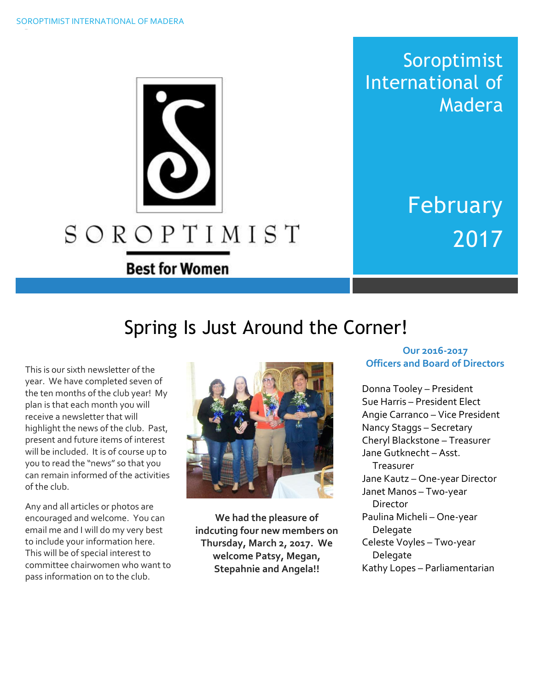

Soroptimist International of Madera

> February 2017

# Spring Is Just Around the Corner!

This is our sixth newsletter of the year. We have completed seven of the ten months of the club year! My plan is that each month you will receive a newsletter that will highlight the news of the club. Past, present and future items of interest will be included. It is of course up to you to read the "news" so that you can remain informed of the activities of the club.

Any and all articles or photos are encouraged and welcome. You can email me and I will do my very best to include your information here. This will be of special interest to committee chairwomen who want to pass information on to the club.



**We had the pleasure of indcuting four new members on Thursday, March 2, 2017. We welcome Patsy, Megan, Stepahnie and Angela!!**

#### **Our 2016-2017 Officers and Board of Directors**

Donna Tooley – President Sue Harris – President Elect Angie Carranco – Vice President Nancy Staggs – Secretary Cheryl Blackstone – Treasurer Jane Gutknecht – Asst. Treasurer Jane Kautz – One-year Director Janet Manos – Two-year **Director** Paulina Micheli – One-year Delegate Celeste Voyles – Two-year Delegate Kathy Lopes – Parliamentarian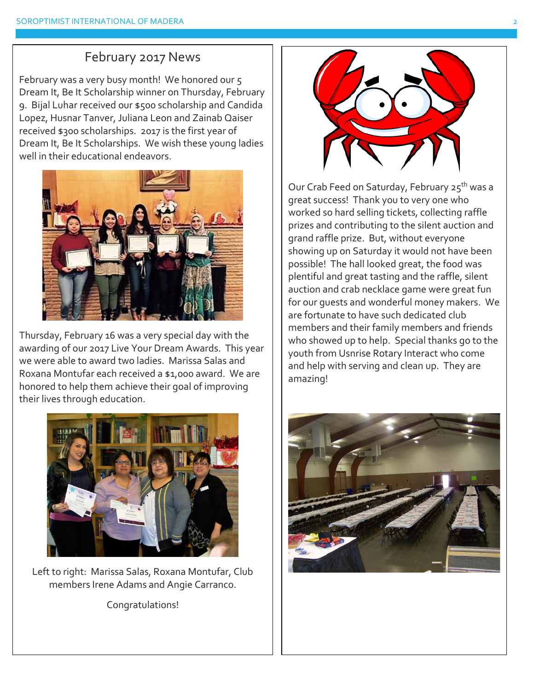## February 2017 News

February was a very busy month! We honored our 5 Dream It, Be It Scholarship winner on Thursday, February 9. Bijal Luhar received our \$500 scholarship and Candida Lopez, Husnar Tanver, Juliana Leon and Zainab Qaiser received \$300 scholarships. 2017 is the first year of Dream It, Be It Scholarships. We wish these young ladies well in their educational endeavors.



Thursday, February 16 was a very special day with the awarding of our 2017 Live Your Dream Awards. This year we were able to award two ladies. Marissa Salas and Roxana Montufar each received a \$1,000 award. We are honored to help them achieve their goal of improving their lives through education.



Left to right: Marissa Salas, Roxana Montufar, Club members Irene Adams and Angie Carranco.

Congratulations!



Our Crab Feed on Saturday, February 25<sup>th</sup> was a great success! Thank you to very one who worked so hard selling tickets, collecting raffle prizes and contributing to the silent auction and grand raffle prize. But, without everyone showing up on Saturday it would not have been possible! The hall looked great, the food was plentiful and great tasting and the raffle, silent auction and crab necklace game were great fun for our guests and wonderful money makers. We are fortunate to have such dedicated club members and their family members and friends who showed up to help. Special thanks go to the youth from Usnrise Rotary Interact who come and help with serving and clean up. They are amazing!